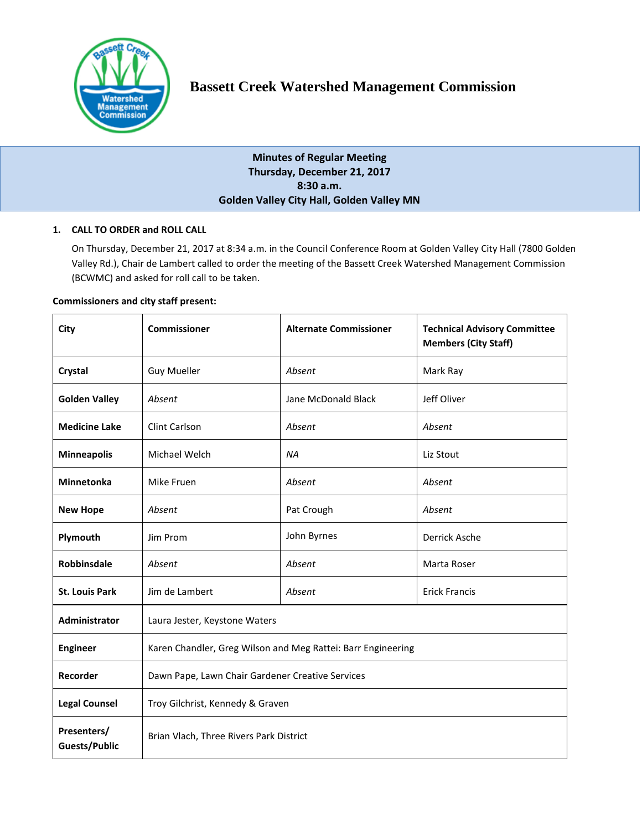

# **Bassett Creek Watershed Management Commission**

**Minutes of Regular Meeting Thursday, December 21, 2017 8:30 a.m. Golden Valley City Hall, Golden Valley MN**

# **1. CALL TO ORDER and ROLL CALL**

On Thursday, December 21, 2017 at 8:34 a.m. in the Council Conference Room at Golden Valley City Hall (7800 Golden Valley Rd.), Chair de Lambert called to order the meeting of the Bassett Creek Watershed Management Commission (BCWMC) and asked for roll call to be taken.

## **Commissioners and city staff present:**

| City                         | <b>Commissioner</b>                                          | <b>Alternate Commissioner</b> | <b>Technical Advisory Committee</b><br><b>Members (City Staff)</b> |
|------------------------------|--------------------------------------------------------------|-------------------------------|--------------------------------------------------------------------|
| Crystal                      | <b>Guy Mueller</b>                                           | Absent                        | Mark Ray                                                           |
| <b>Golden Valley</b>         | Absent                                                       | Jane McDonald Black           | Jeff Oliver                                                        |
| <b>Medicine Lake</b>         | Clint Carlson                                                | Absent                        | Absent                                                             |
| <b>Minneapolis</b>           | Michael Welch                                                | <b>NA</b>                     | Liz Stout                                                          |
| Minnetonka                   | Mike Fruen                                                   | Absent                        | Absent                                                             |
| <b>New Hope</b>              | Absent                                                       | Pat Crough                    | Absent                                                             |
| Plymouth                     | Jim Prom                                                     | John Byrnes                   | Derrick Asche                                                      |
| <b>Robbinsdale</b>           | Absent                                                       | Absent                        | Marta Roser                                                        |
| <b>St. Louis Park</b>        | Jim de Lambert                                               | Absent                        | <b>Erick Francis</b>                                               |
| Administrator                | Laura Jester, Keystone Waters                                |                               |                                                                    |
| <b>Engineer</b>              | Karen Chandler, Greg Wilson and Meg Rattei: Barr Engineering |                               |                                                                    |
| Recorder                     | Dawn Pape, Lawn Chair Gardener Creative Services             |                               |                                                                    |
| <b>Legal Counsel</b>         | Troy Gilchrist, Kennedy & Graven                             |                               |                                                                    |
| Presenters/<br>Guests/Public | Brian Vlach, Three Rivers Park District                      |                               |                                                                    |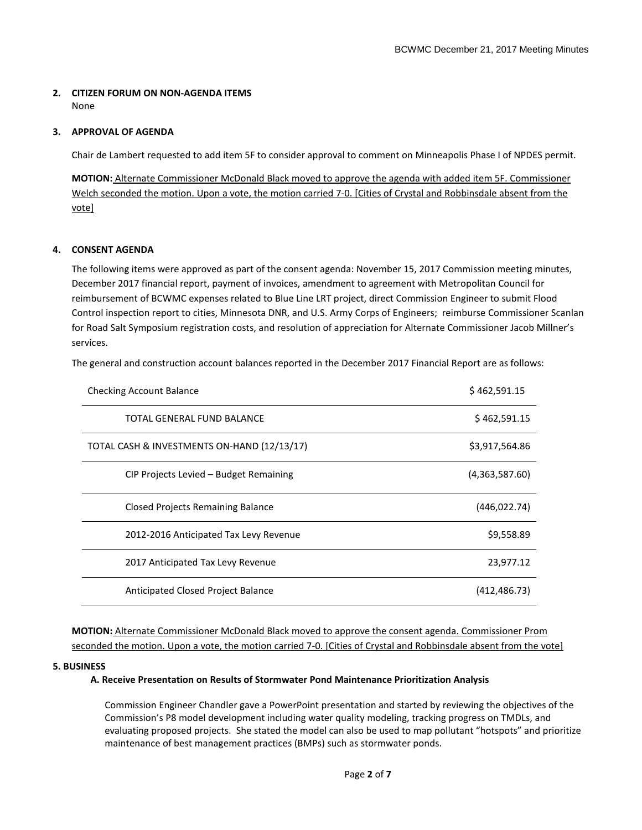## **2. CITIZEN FORUM ON NON-AGENDA ITEMS**  None

# **3. APPROVAL OF AGENDA**

Chair de Lambert requested to add item 5F to consider approval to comment on Minneapolis Phase I of NPDES permit.

**MOTION:** Alternate Commissioner McDonald Black moved to approve the agenda with added item 5F. Commissioner Welch seconded the motion. Upon a vote, the motion carried 7-0. [Cities of Crystal and Robbinsdale absent from the vote]

# **4. CONSENT AGENDA**

The following items were approved as part of the consent agenda: November 15, 2017 Commission meeting minutes, December 2017 financial report, payment of invoices, amendment to agreement with Metropolitan Council for reimbursement of BCWMC expenses related to Blue Line LRT project, direct Commission Engineer to submit Flood Control inspection report to cities, Minnesota DNR, and U.S. Army Corps of Engineers; reimburse Commissioner Scanlan for Road Salt Symposium registration costs, and resolution of appreciation for Alternate Commissioner Jacob Millner's services.

The general and construction account balances reported in the December 2017 Financial Report are as follows:

| <b>Checking Account Balance</b>             | \$462,591.15   |
|---------------------------------------------|----------------|
| TOTAL GENERAL FUND BALANCE                  | \$462,591.15   |
| TOTAL CASH & INVESTMENTS ON-HAND (12/13/17) | \$3,917,564.86 |
| CIP Projects Levied – Budget Remaining      | (4,363,587.60) |
| <b>Closed Projects Remaining Balance</b>    | (446, 022.74)  |
| 2012-2016 Anticipated Tax Levy Revenue      | \$9,558.89     |
| 2017 Anticipated Tax Levy Revenue           | 23,977.12      |
| Anticipated Closed Project Balance          | (412,486.73)   |

**MOTION:** Alternate Commissioner McDonald Black moved to approve the consent agenda. Commissioner Prom seconded the motion. Upon a vote, the motion carried 7-0. [Cities of Crystal and Robbinsdale absent from the vote]

#### **5. BUSINESS**

#### **A. Receive Presentation on Results of Stormwater Pond Maintenance Prioritization Analysis**

Commission Engineer Chandler gave a PowerPoint presentation and started by reviewing the objectives of the Commission's P8 model development including water quality modeling, tracking progress on TMDLs, and evaluating proposed projects. She stated the model can also be used to map pollutant "hotspots" and prioritize maintenance of best management practices (BMPs) such as stormwater ponds.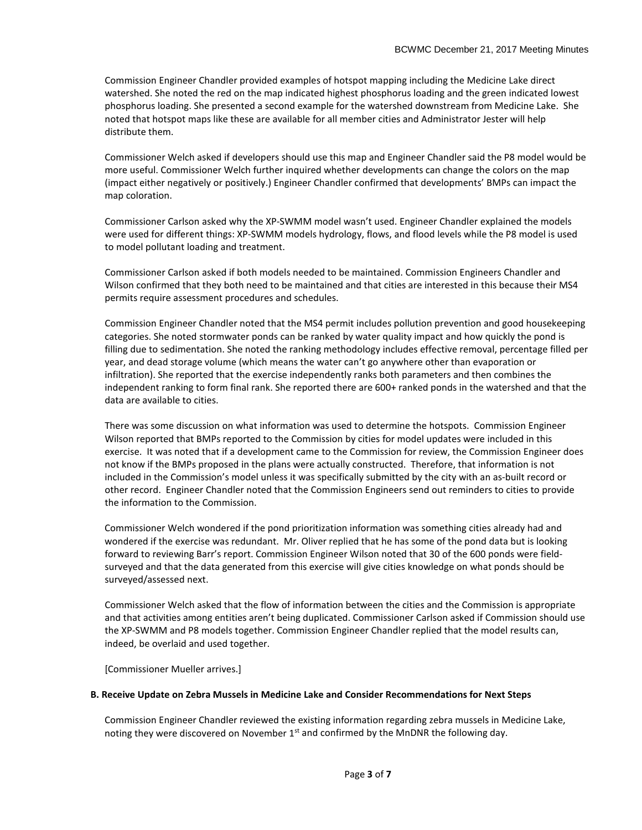Commission Engineer Chandler provided examples of hotspot mapping including the Medicine Lake direct watershed. She noted the red on the map indicated highest phosphorus loading and the green indicated lowest phosphorus loading. She presented a second example for the watershed downstream from Medicine Lake. She noted that hotspot maps like these are available for all member cities and Administrator Jester will help distribute them.

Commissioner Welch asked if developers should use this map and Engineer Chandler said the P8 model would be more useful. Commissioner Welch further inquired whether developments can change the colors on the map (impact either negatively or positively.) Engineer Chandler confirmed that developments' BMPs can impact the map coloration.

Commissioner Carlson asked why the XP-SWMM model wasn't used. Engineer Chandler explained the models were used for different things: XP-SWMM models hydrology, flows, and flood levels while the P8 model is used to model pollutant loading and treatment.

Commissioner Carlson asked if both models needed to be maintained. Commission Engineers Chandler and Wilson confirmed that they both need to be maintained and that cities are interested in this because their MS4 permits require assessment procedures and schedules.

Commission Engineer Chandler noted that the MS4 permit includes pollution prevention and good housekeeping categories. She noted stormwater ponds can be ranked by water quality impact and how quickly the pond is filling due to sedimentation. She noted the ranking methodology includes effective removal, percentage filled per year, and dead storage volume (which means the water can't go anywhere other than evaporation or infiltration). She reported that the exercise independently ranks both parameters and then combines the independent ranking to form final rank. She reported there are 600+ ranked ponds in the watershed and that the data are available to cities.

There was some discussion on what information was used to determine the hotspots. Commission Engineer Wilson reported that BMPs reported to the Commission by cities for model updates were included in this exercise. It was noted that if a development came to the Commission for review, the Commission Engineer does not know if the BMPs proposed in the plans were actually constructed. Therefore, that information is not included in the Commission's model unless it was specifically submitted by the city with an as-built record or other record. Engineer Chandler noted that the Commission Engineers send out reminders to cities to provide the information to the Commission.

Commissioner Welch wondered if the pond prioritization information was something cities already had and wondered if the exercise was redundant. Mr. Oliver replied that he has some of the pond data but is looking forward to reviewing Barr's report. Commission Engineer Wilson noted that 30 of the 600 ponds were fieldsurveyed and that the data generated from this exercise will give cities knowledge on what ponds should be surveyed/assessed next.

Commissioner Welch asked that the flow of information between the cities and the Commission is appropriate and that activities among entities aren't being duplicated. Commissioner Carlson asked if Commission should use the XP-SWMM and P8 models together. Commission Engineer Chandler replied that the model results can, indeed, be overlaid and used together.

[Commissioner Mueller arrives.]

# **B. Receive Update on Zebra Mussels in Medicine Lake and Consider Recommendations for Next Steps**

Commission Engineer Chandler reviewed the existing information regarding zebra mussels in Medicine Lake, noting they were discovered on November  $1<sup>st</sup>$  and confirmed by the MnDNR the following day.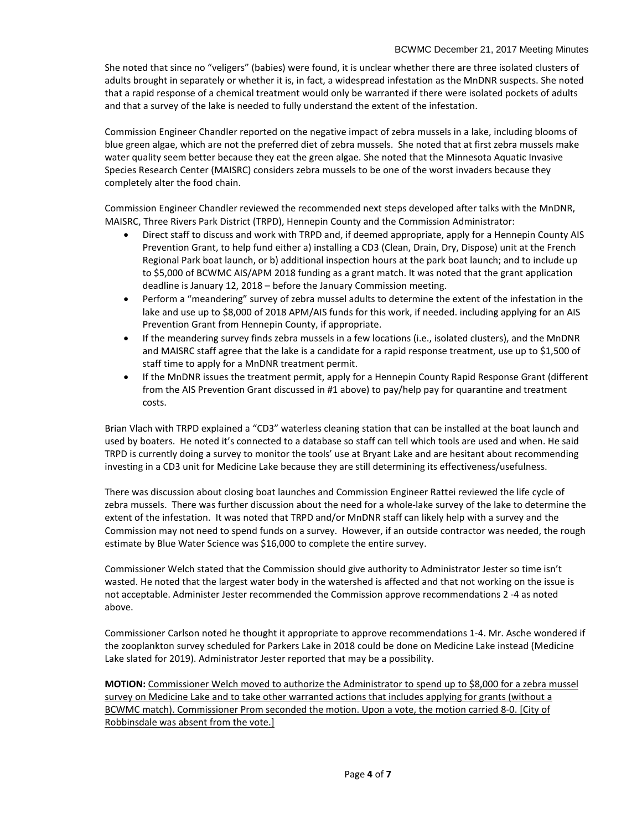She noted that since no "veligers" (babies) were found, it is unclear whether there are three isolated clusters of adults brought in separately or whether it is, in fact, a widespread infestation as the MnDNR suspects. She noted that a rapid response of a chemical treatment would only be warranted if there were isolated pockets of adults and that a survey of the lake is needed to fully understand the extent of the infestation.

Commission Engineer Chandler reported on the negative impact of zebra mussels in a lake, including blooms of blue green algae, which are not the preferred diet of zebra mussels. She noted that at first zebra mussels make water quality seem better because they eat the green algae. She noted that the Minnesota Aquatic Invasive Species Research Center (MAISRC) considers zebra mussels to be one of the worst invaders because they completely alter the food chain.

Commission Engineer Chandler reviewed the recommended next steps developed after talks with the MnDNR, MAISRC, Three Rivers Park District (TRPD), Hennepin County and the Commission Administrator:

- Direct staff to discuss and work with TRPD and, if deemed appropriate, apply for a Hennepin County AIS Prevention Grant, to help fund either a) installing a CD3 (Clean, Drain, Dry, Dispose) unit at the French Regional Park boat launch, or b) additional inspection hours at the park boat launch; and to include up to \$5,000 of BCWMC AIS/APM 2018 funding as a grant match. It was noted that the grant application deadline is January 12, 2018 – before the January Commission meeting.
- Perform a "meandering" survey of zebra mussel adults to determine the extent of the infestation in the lake and use up to \$8,000 of 2018 APM/AIS funds for this work, if needed. including applying for an AIS Prevention Grant from Hennepin County, if appropriate.
- If the meandering survey finds zebra mussels in a few locations (i.e., isolated clusters), and the MnDNR and MAISRC staff agree that the lake is a candidate for a rapid response treatment, use up to \$1,500 of staff time to apply for a MnDNR treatment permit.
- If the MnDNR issues the treatment permit, apply for a Hennepin County Rapid Response Grant (different from the AIS Prevention Grant discussed in #1 above) to pay/help pay for quarantine and treatment costs.

Brian Vlach with TRPD explained a "CD3" waterless cleaning station that can be installed at the boat launch and used by boaters. He noted it's connected to a database so staff can tell which tools are used and when. He said TRPD is currently doing a survey to monitor the tools' use at Bryant Lake and are hesitant about recommending investing in a CD3 unit for Medicine Lake because they are still determining its effectiveness/usefulness.

There was discussion about closing boat launches and Commission Engineer Rattei reviewed the life cycle of zebra mussels. There was further discussion about the need for a whole-lake survey of the lake to determine the extent of the infestation. It was noted that TRPD and/or MnDNR staff can likely help with a survey and the Commission may not need to spend funds on a survey. However, if an outside contractor was needed, the rough estimate by Blue Water Science was \$16,000 to complete the entire survey.

Commissioner Welch stated that the Commission should give authority to Administrator Jester so time isn't wasted. He noted that the largest water body in the watershed is affected and that not working on the issue is not acceptable. Administer Jester recommended the Commission approve recommendations 2 -4 as noted above.

Commissioner Carlson noted he thought it appropriate to approve recommendations 1-4. Mr. Asche wondered if the zooplankton survey scheduled for Parkers Lake in 2018 could be done on Medicine Lake instead (Medicine Lake slated for 2019). Administrator Jester reported that may be a possibility.

**MOTION:** Commissioner Welch moved to authorize the Administrator to spend up to \$8,000 for a zebra mussel survey on Medicine Lake and to take other warranted actions that includes applying for grants (without a BCWMC match). Commissioner Prom seconded the motion. Upon a vote, the motion carried 8-0. [City of Robbinsdale was absent from the vote.]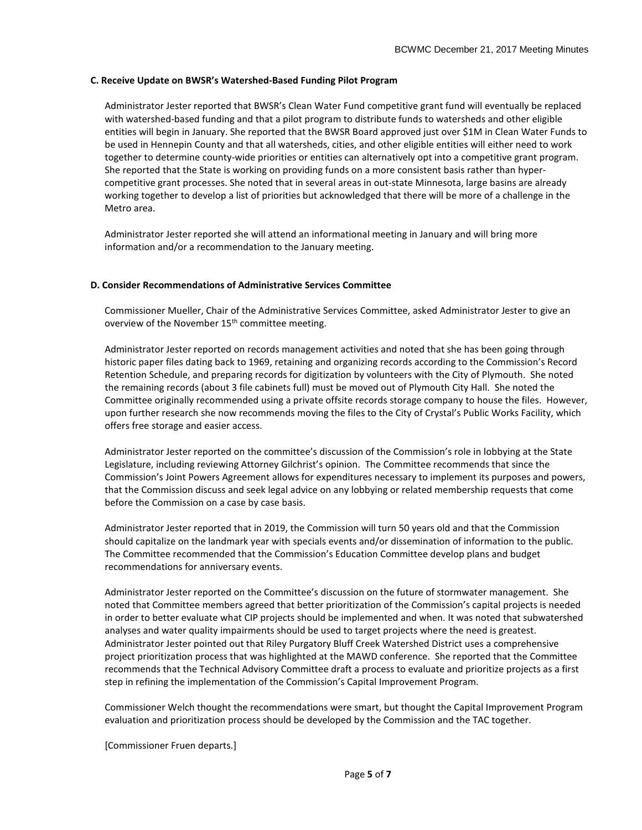## **C. Receive Update on BWSR's Watershed-Based Funding Pilot Program**

Administrator Jester reported that BWSR's Clean Water Fund competitive grant fund will eventually be replaced with watershed-based funding and that a pilot program to distribute funds to watersheds and other eligible entities will begin in January. She reported that the BWSR Board approved just over \$1M in Clean Water Funds to be used in Hennepin County and that all watersheds, cities, and other eligible entities will either need to work together to determine county-wide priorities or entities can alternatively opt into a competitive grant program. She reported that the State is working on providing funds on a more consistent basis rather than hypercompetitive grant processes. She noted that in several areas in out-state Minnesota, large basins are already working together to develop a list of priorities but acknowledged that there will be more of a challenge in the Metro area.

Administrator Jester reported she will attend an informational meeting in January and will bring more information and/or a recommendation to the January meeting.

## **D. Consider Recommendations of Administrative Services Committee**

Commissioner Mueller, Chair of the Administrative Services Committee, asked Administrator Jester to give an overview of the November 15<sup>th</sup> committee meeting.

Administrator Jester reported on records management activities and noted that she has been going through historic paper files dating back to 1969, retaining and organizing records according to the Commission's Record Retention Schedule, and preparing records for digitization by volunteers with the City of Plymouth. She noted the remaining records (about 3 file cabinets full) must be moved out of Plymouth City Hall. She noted the Committee originally recommended using a private offsite records storage company to house the files. However, upon further research she now recommends moving the files to the City of Crystal's Public Works Facility, which offers free storage and easier access.

Administrator Jester reported on the committee's discussion of the Commission's role in lobbying at the State Legislature, including reviewing Attorney Gilchrist's opinion. The Committee recommends that since the Commission's Joint Powers Agreement allows for expenditures necessary to implement its purposes and powers, that the Commission discuss and seek legal advice on any lobbying or related membership requests that come before the Commission on a case by case basis.

Administrator Jester reported that in 2019, the Commission will turn 50 years old and that the Commission should capitalize on the landmark year with specials events and/or dissemination of information to the public. The Committee recommended that the Commission's Education Committee develop plans and budget recommendations for anniversary events.

Administrator Jester reported on the Committee's discussion on the future of stormwater management. She noted that Committee members agreed that better prioritization of the Commission's capital projects is needed in order to better evaluate what CIP projects should be implemented and when. It was noted that subwatershed analyses and water quality impairments should be used to target projects where the need is greatest. Administrator Jester pointed out that Riley Purgatory Bluff Creek Watershed District uses a comprehensive project prioritization process that was highlighted at the MAWD conference. She reported that the Committee recommends that the Technical Advisory Committee draft a process to evaluate and prioritize projects as a first step in refining the implementation of the Commission's Capital Improvement Program.

Commissioner Welch thought the recommendations were smart, but thought the Capital Improvement Program evaluation and prioritization process should be developed by the Commission and the TAC together.

[Commissioner Fruen departs.]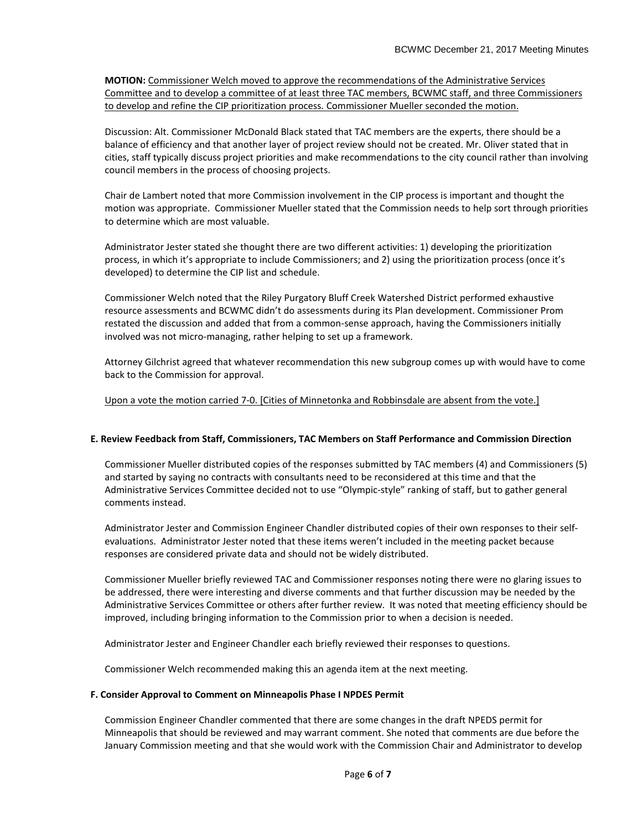**MOTION:** Commissioner Welch moved to approve the recommendations of the Administrative Services Committee and to develop a committee of at least three TAC members, BCWMC staff, and three Commissioners to develop and refine the CIP prioritization process. Commissioner Mueller seconded the motion.

Discussion: Alt. Commissioner McDonald Black stated that TAC members are the experts, there should be a balance of efficiency and that another layer of project review should not be created. Mr. Oliver stated that in cities, staff typically discuss project priorities and make recommendations to the city council rather than involving council members in the process of choosing projects.

Chair de Lambert noted that more Commission involvement in the CIP process is important and thought the motion was appropriate. Commissioner Mueller stated that the Commission needs to help sort through priorities to determine which are most valuable.

Administrator Jester stated she thought there are two different activities: 1) developing the prioritization process, in which it's appropriate to include Commissioners; and 2) using the prioritization process (once it's developed) to determine the CIP list and schedule.

Commissioner Welch noted that the Riley Purgatory Bluff Creek Watershed District performed exhaustive resource assessments and BCWMC didn't do assessments during its Plan development. Commissioner Prom restated the discussion and added that from a common-sense approach, having the Commissioners initially involved was not micro-managing, rather helping to set up a framework.

Attorney Gilchrist agreed that whatever recommendation this new subgroup comes up with would have to come back to the Commission for approval.

# Upon a vote the motion carried 7-0. [Cities of Minnetonka and Robbinsdale are absent from the vote.]

# **E. Review Feedback from Staff, Commissioners, TAC Members on Staff Performance and Commission Direction**

Commissioner Mueller distributed copies of the responses submitted by TAC members (4) and Commissioners (5) and started by saying no contracts with consultants need to be reconsidered at this time and that the Administrative Services Committee decided not to use "Olympic-style" ranking of staff, but to gather general comments instead.

Administrator Jester and Commission Engineer Chandler distributed copies of their own responses to their selfevaluations. Administrator Jester noted that these items weren't included in the meeting packet because responses are considered private data and should not be widely distributed.

Commissioner Mueller briefly reviewed TAC and Commissioner responses noting there were no glaring issues to be addressed, there were interesting and diverse comments and that further discussion may be needed by the Administrative Services Committee or others after further review. It was noted that meeting efficiency should be improved, including bringing information to the Commission prior to when a decision is needed.

Administrator Jester and Engineer Chandler each briefly reviewed their responses to questions.

Commissioner Welch recommended making this an agenda item at the next meeting.

#### **F. Consider Approval to Comment on Minneapolis Phase I NPDES Permit**

Commission Engineer Chandler commented that there are some changes in the draft NPEDS permit for Minneapolis that should be reviewed and may warrant comment. She noted that comments are due before the January Commission meeting and that she would work with the Commission Chair and Administrator to develop